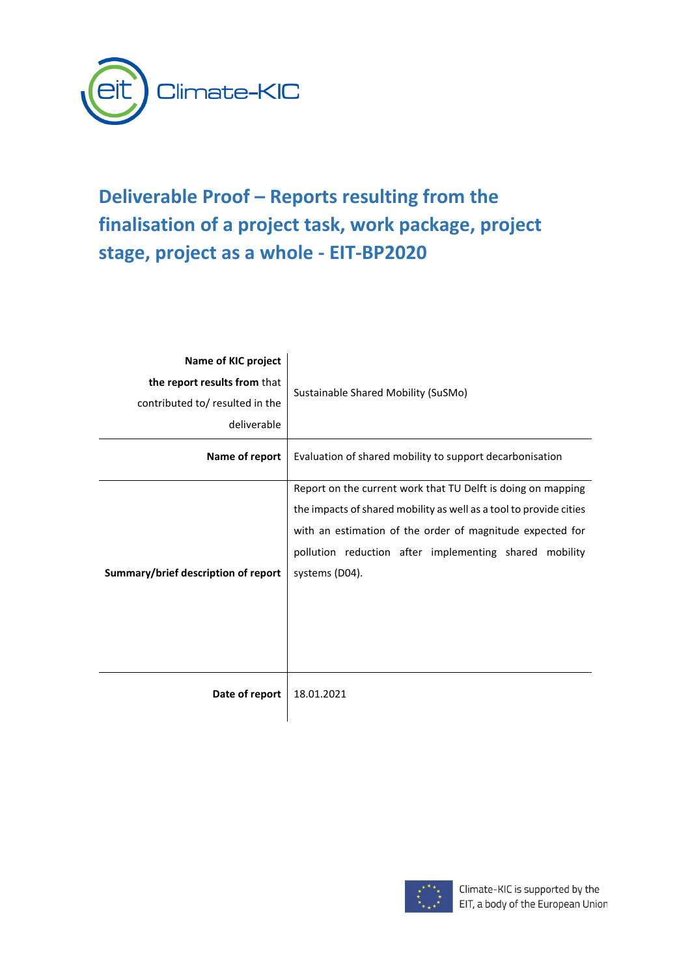

# **Deliverable Proof – Reports resulting from the finalisation of a project task, work package, project stage, project as a whole - EIT-BP2020**

| Name of KIC project<br>the report results from that<br>contributed to/ resulted in the<br>deliverable | Sustainable Shared Mobility (SuSMo)                                                                                                                                                                                                                                         |  |  |
|-------------------------------------------------------------------------------------------------------|-----------------------------------------------------------------------------------------------------------------------------------------------------------------------------------------------------------------------------------------------------------------------------|--|--|
| Name of report                                                                                        | Evaluation of shared mobility to support decarbonisation                                                                                                                                                                                                                    |  |  |
| Summary/brief description of report                                                                   | Report on the current work that TU Delft is doing on mapping<br>the impacts of shared mobility as well as a tool to provide cities<br>with an estimation of the order of magnitude expected for<br>pollution reduction after implementing shared mobility<br>systems (D04). |  |  |
| Date of report                                                                                        | 18.01.2021                                                                                                                                                                                                                                                                  |  |  |

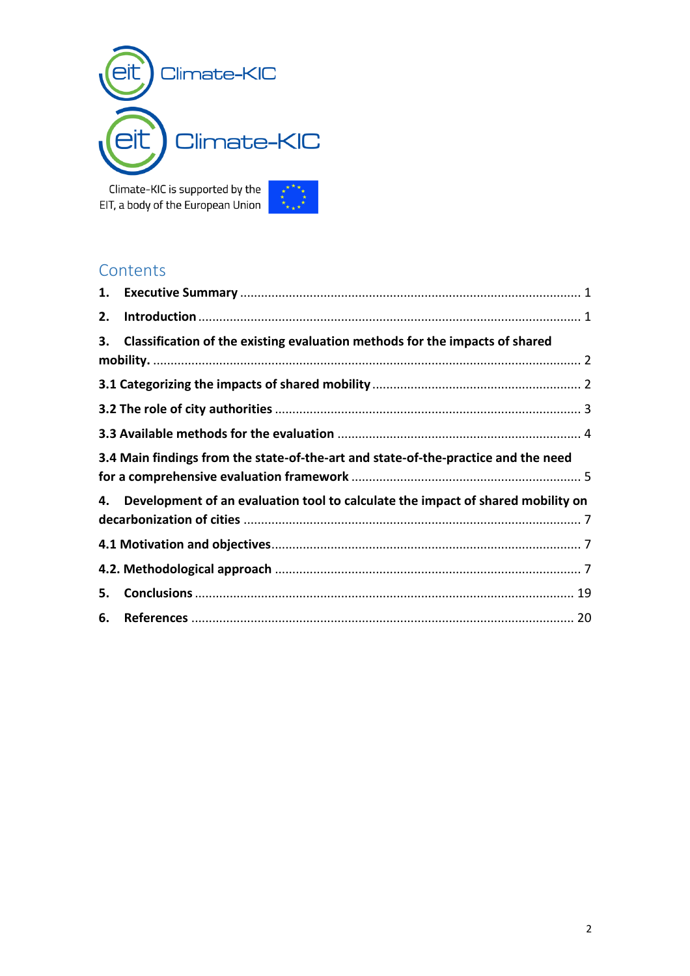

Climate-KIC is supported by the EIT, a body of the European Union



## **Contents**

<span id="page-1-0"></span>

| 2. |                                                                                    |
|----|------------------------------------------------------------------------------------|
| 3. | Classification of the existing evaluation methods for the impacts of shared        |
|    |                                                                                    |
|    |                                                                                    |
|    |                                                                                    |
|    |                                                                                    |
|    | 3.4 Main findings from the state-of-the-art and state-of-the-practice and the need |
|    |                                                                                    |
|    | 4. Development of an evaluation tool to calculate the impact of shared mobility on |
|    |                                                                                    |
|    |                                                                                    |
|    |                                                                                    |
| 5. |                                                                                    |
| 6. |                                                                                    |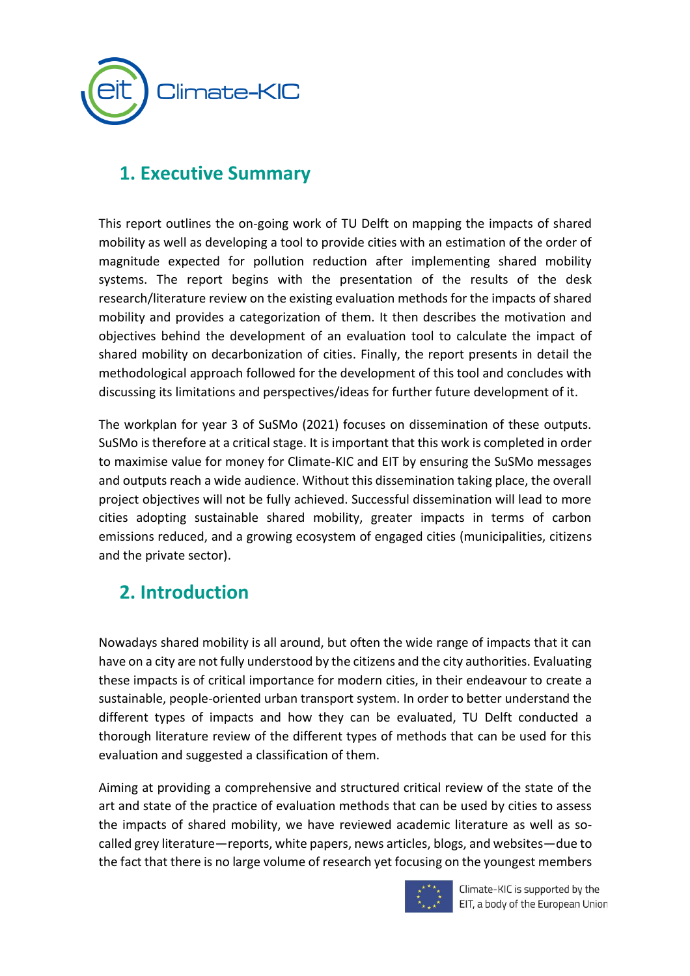

# **1. Executive Summary**

This report outlines the on-going work of TU Delft on mapping the impacts of shared mobility as well as developing a tool to provide cities with an estimation of the order of magnitude expected for pollution reduction after implementing shared mobility systems. The report begins with the presentation of the results of the desk research/literature review on the existing evaluation methods for the impacts of shared mobility and provides a categorization of them. It then describes the motivation and objectives behind the development of an evaluation tool to calculate the impact of shared mobility on decarbonization of cities. Finally, the report presents in detail the methodological approach followed for the development of this tool and concludes with discussing its limitations and perspectives/ideas for further future development of it.

The workplan for year 3 of SuSMo (2021) focuses on dissemination of these outputs. SuSMo is therefore at a critical stage. It is important that this work is completed in order to maximise value for money for Climate-KIC and EIT by ensuring the SuSMo messages and outputs reach a wide audience. Without this dissemination taking place, the overall project objectives will not be fully achieved. Successful dissemination will lead to more cities adopting sustainable shared mobility, greater impacts in terms of carbon emissions reduced, and a growing ecosystem of engaged cities (municipalities, citizens and the private sector).

## <span id="page-2-0"></span>**2. Introduction**

Nowadays shared mobility is all around, but often the wide range of impacts that it can have on a city are not fully understood by the citizens and the city authorities. Evaluating these impacts is of critical importance for modern cities, in their endeavour to create a sustainable, people-oriented urban transport system. In order to better understand the different types of impacts and how they can be evaluated, TU Delft conducted a thorough literature review of the different types of methods that can be used for this evaluation and suggested a classification of them.

Aiming at providing a comprehensive and structured critical review of the state of the art and state of the practice of evaluation methods that can be used by cities to assess the impacts of shared mobility, we have reviewed academic literature as well as socalled grey literature—reports, white papers, news articles, blogs, and websites—due to the fact that there is no large volume of research yet focusing on the youngest members



Climate-KIC is supported by the EIT, a body of the European Union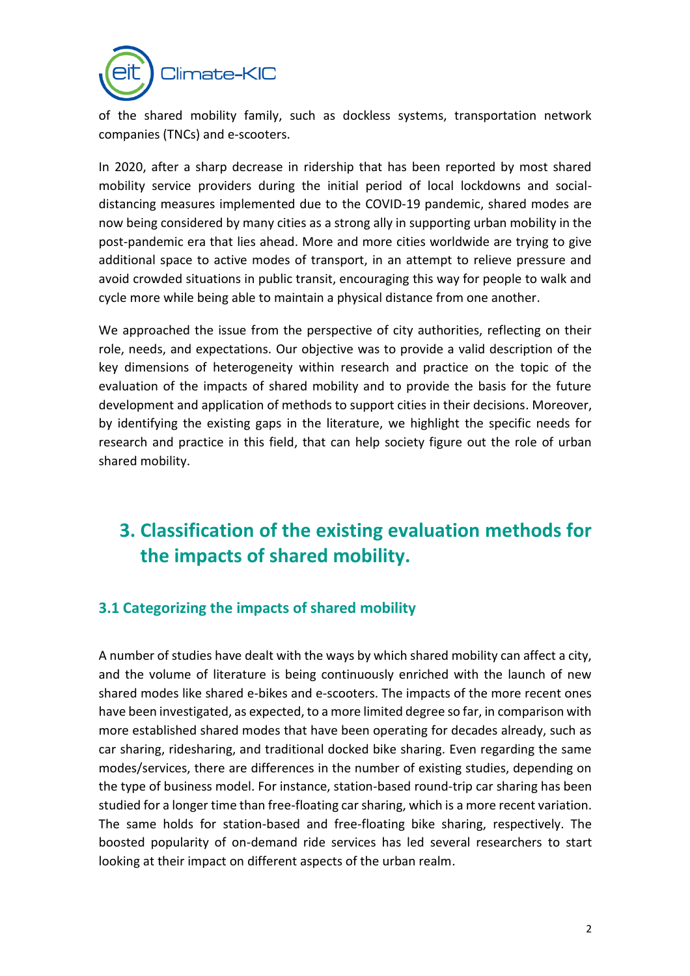

of the shared mobility family, such as dockless systems, transportation network companies (TNCs) and e-scooters.

In 2020, after a sharp decrease in ridership that has been reported by most shared mobility service providers during the initial period of local lockdowns and socialdistancing measures implemented due to the COVID-19 pandemic, shared modes are now being considered by many cities as a strong ally in supporting urban mobility in the post-pandemic era that lies ahead. More and more cities worldwide are trying to give additional space to active modes of transport, in an attempt to relieve pressure and avoid crowded situations in public transit, encouraging this way for people to walk and cycle more while being able to maintain a physical distance from one another.

We approached the issue from the perspective of city authorities, reflecting on their role, needs, and expectations. Our objective was to provide a valid description of the key dimensions of heterogeneity within research and practice on the topic of the evaluation of the impacts of shared mobility and to provide the basis for the future development and application of methods to support cities in their decisions. Moreover, by identifying the existing gaps in the literature, we highlight the specific needs for research and practice in this field, that can help society figure out the role of urban shared mobility.

# <span id="page-3-0"></span>**3. Classification of the existing evaluation methods for the impacts of shared mobility.**

## <span id="page-3-1"></span>**3.1 Categorizing the impacts of shared mobility**

A number of studies have dealt with the ways by which shared mobility can affect a city, and the volume of literature is being continuously enriched with the launch of new shared modes like shared e-bikes and e-scooters. The impacts of the more recent ones have been investigated, as expected, to a more limited degree so far, in comparison with more established shared modes that have been operating for decades already, such as car sharing, ridesharing, and traditional docked bike sharing. Even regarding the same modes/services, there are differences in the number of existing studies, depending on the type of business model. For instance, station-based round-trip car sharing has been studied for a longer time than free-floating car sharing, which is a more recent variation. The same holds for station-based and free-floating bike sharing, respectively. The boosted popularity of on-demand ride services has led several researchers to start looking at their impact on different aspects of the urban realm.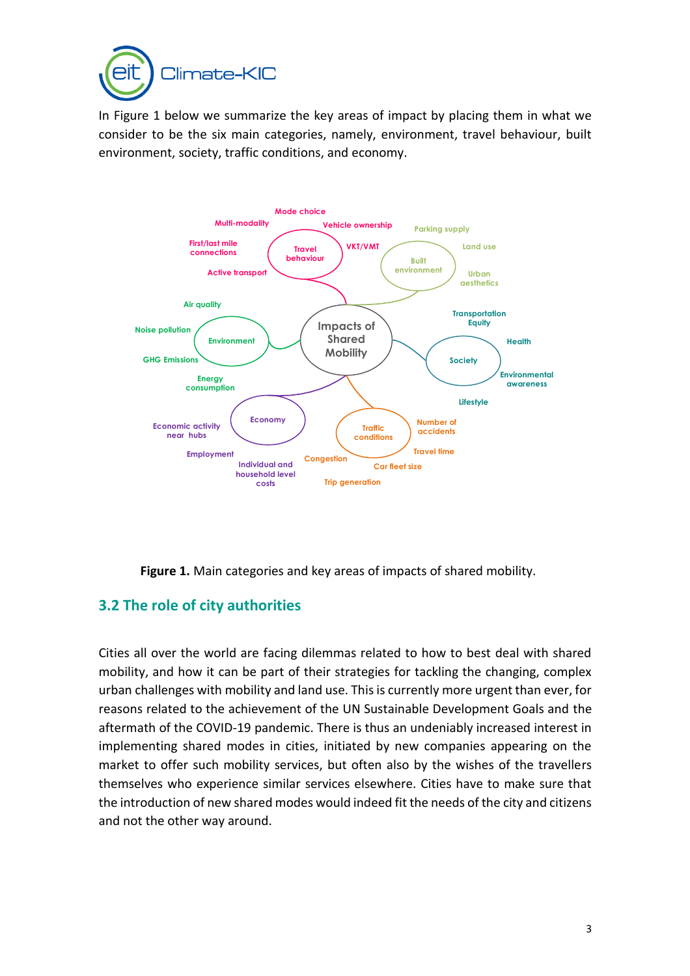

In Figure 1 below we summarize the key areas of impact by placing them in what we consider to be the six main categories, namely, environment, travel behaviour, built environment, society, traffic conditions, and economy.



**Figure 1.** Main categories and key areas of impacts of shared mobility.

## <span id="page-4-0"></span>**3.2 The role of city authorities**

Cities all over the world are facing dilemmas related to how to best deal with shared mobility, and how it can be part of their strategies for tackling the changing, complex urban challenges with mobility and land use. This is currently more urgent than ever, for reasons related to the achievement of the UN Sustainable Development Goals and the aftermath of the COVID-19 pandemic. There is thus an undeniably increased interest in implementing shared modes in cities, initiated by new companies appearing on the market to offer such mobility services, but often also by the wishes of the travellers themselves who experience similar services elsewhere. Cities have to make sure that the introduction of new shared modes would indeed fit the needs of the city and citizens and not the other way around.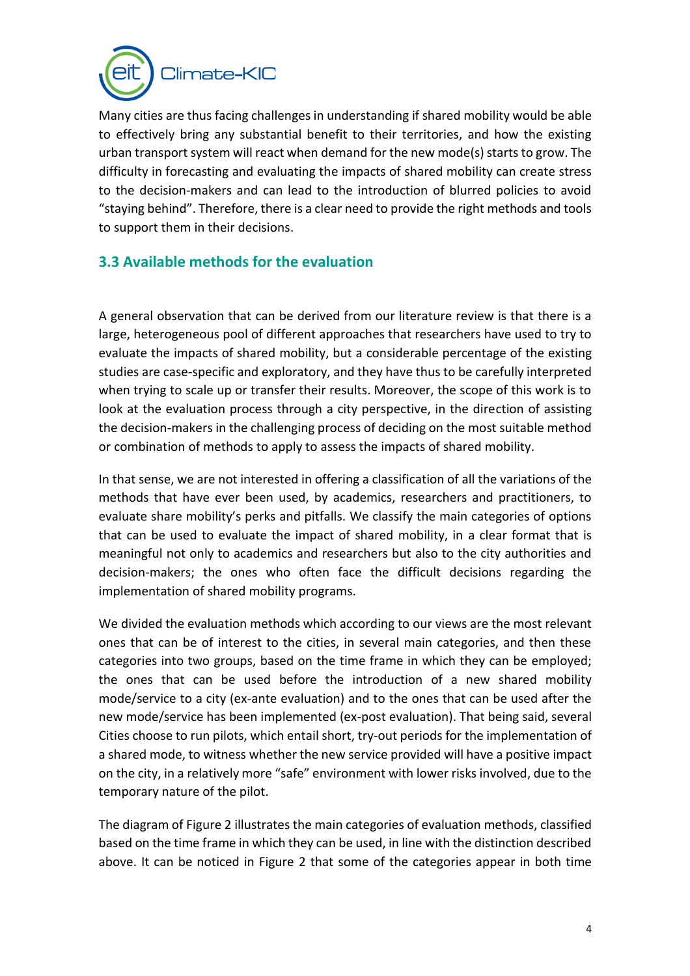

Many cities are thus facing challenges in understanding if shared mobility would be able to effectively bring any substantial benefit to their territories, and how the existing urban transport system will react when demand for the new mode(s) starts to grow. The difficulty in forecasting and evaluating the impacts of shared mobility can create stress to the decision-makers and can lead to the introduction of blurred policies to avoid "staying behind". Therefore, there is a clear need to provide the right methods and tools to support them in their decisions.

## <span id="page-5-0"></span>**3.3 Available methods for the evaluation**

A general observation that can be derived from our literature review is that there is a large, heterogeneous pool of different approaches that researchers have used to try to evaluate the impacts of shared mobility, but a considerable percentage of the existing studies are case-specific and exploratory, and they have thus to be carefully interpreted when trying to scale up or transfer their results. Moreover, the scope of this work is to look at the evaluation process through a city perspective, in the direction of assisting the decision-makers in the challenging process of deciding on the most suitable method or combination of methods to apply to assess the impacts of shared mobility.

In that sense, we are not interested in offering a classification of all the variations of the methods that have ever been used, by academics, researchers and practitioners, to evaluate share mobility's perks and pitfalls. We classify the main categories of options that can be used to evaluate the impact of shared mobility, in a clear format that is meaningful not only to academics and researchers but also to the city authorities and decision-makers; the ones who often face the difficult decisions regarding the implementation of shared mobility programs.

We divided the evaluation methods which according to our views are the most relevant ones that can be of interest to the cities, in several main categories, and then these categories into two groups, based on the time frame in which they can be employed; the ones that can be used before the introduction of a new shared mobility mode/service to a city (ex-ante evaluation) and to the ones that can be used after the new mode/service has been implemented (ex-post evaluation). That being said, several Cities choose to run pilots, which entail short, try-out periods for the implementation of a shared mode, to witness whether the new service provided will have a positive impact on the city, in a relatively more "safe" environment with lower risks involved, due to the temporary nature of the pilot.

The diagram of Figure 2 illustrates the main categories of evaluation methods, classified based on the time frame in which they can be used, in line with the distinction described above. It can be noticed in Figure 2 that some of the categories appear in both time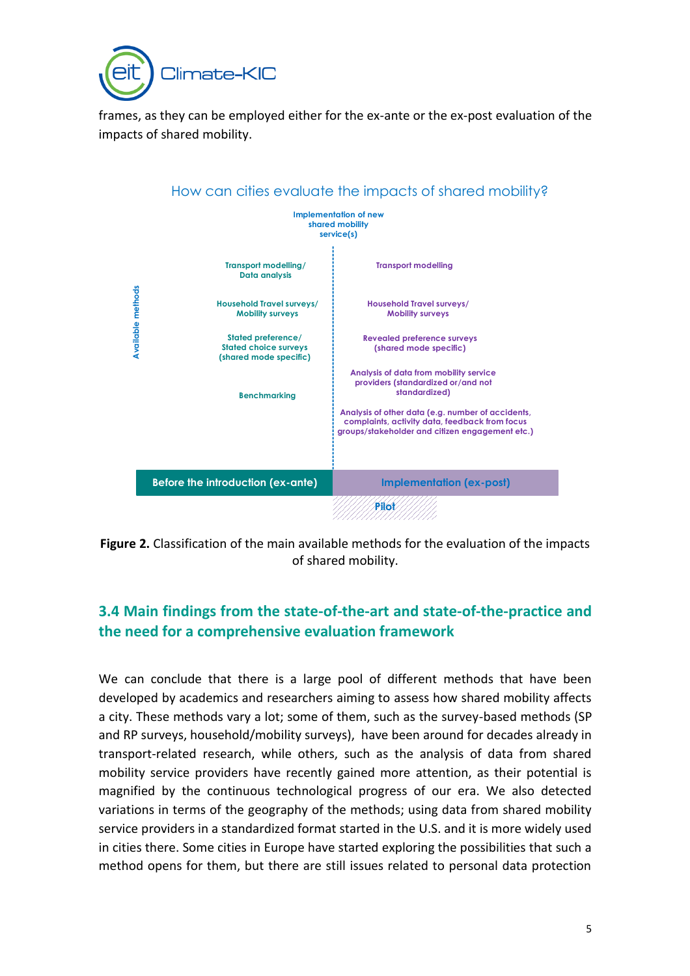

frames, as they can be employed either for the ex-ante or the ex-post evaluation of the impacts of shared mobility.



**Figure 2.** Classification of the main available methods for the evaluation of the impacts of shared mobility.

## <span id="page-6-0"></span>**3.4 Main findings from the state-of-the-art and state-of-the-practice and the need for a comprehensive evaluation framework**

We can conclude that there is a large pool of different methods that have been developed by academics and researchers aiming to assess how shared mobility affects a city. These methods vary a lot; some of them, such as the survey-based methods (SP and RP surveys, household/mobility surveys), have been around for decades already in transport-related research, while others, such as the analysis of data from shared mobility service providers have recently gained more attention, as their potential is magnified by the continuous technological progress of our era. We also detected variations in terms of the geography of the methods; using data from shared mobility service providers in a standardized format started in the U.S. and it is more widely used in cities there. Some cities in Europe have started exploring the possibilities that such a method opens for them, but there are still issues related to personal data protection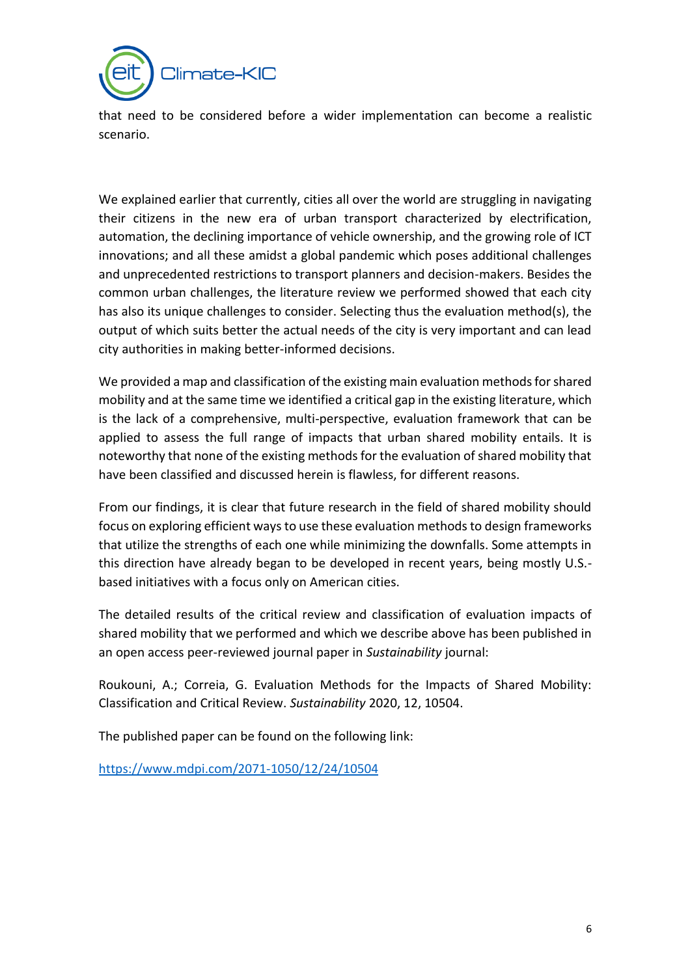

that need to be considered before a wider implementation can become a realistic scenario.

We explained earlier that currently, cities all over the world are struggling in navigating their citizens in the new era of urban transport characterized by electrification, automation, the declining importance of vehicle ownership, and the growing role of ICT innovations; and all these amidst a global pandemic which poses additional challenges and unprecedented restrictions to transport planners and decision-makers. Besides the common urban challenges, the literature review we performed showed that each city has also its unique challenges to consider. Selecting thus the evaluation method(s), the output of which suits better the actual needs of the city is very important and can lead city authorities in making better-informed decisions.

We provided a map and classification of the existing main evaluation methods for shared mobility and at the same time we identified a critical gap in the existing literature, which is the lack of a comprehensive, multi-perspective, evaluation framework that can be applied to assess the full range of impacts that urban shared mobility entails. It is noteworthy that none of the existing methods for the evaluation of shared mobility that have been classified and discussed herein is flawless, for different reasons.

From our findings, it is clear that future research in the field of shared mobility should focus on exploring efficient ways to use these evaluation methods to design frameworks that utilize the strengths of each one while minimizing the downfalls. Some attempts in this direction have already began to be developed in recent years, being mostly U.S. based initiatives with a focus only on American cities.

The detailed results of the critical review and classification of evaluation impacts of shared mobility that we performed and which we describe above has been published in an open access peer-reviewed journal paper in *Sustainability* journal:

Roukouni, A.; Correia, G. Evaluation Methods for the Impacts of Shared Mobility: Classification and Critical Review. *Sustainability* 2020, 12, 10504.

The published paper can be found on the following link:

<https://www.mdpi.com/2071-1050/12/24/10504>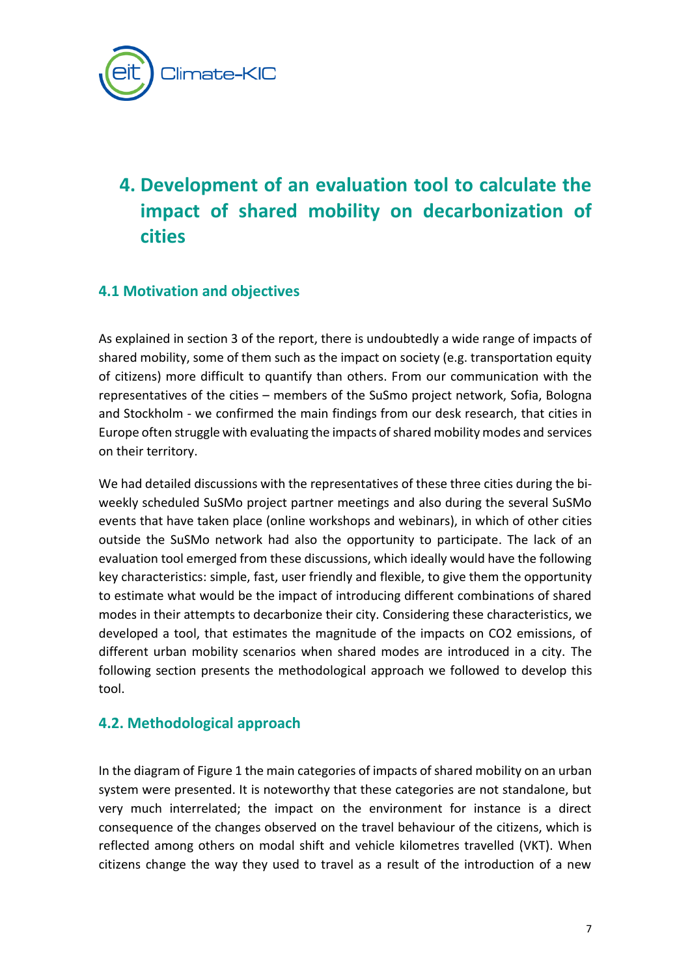

# <span id="page-8-0"></span>**4. Development of an evaluation tool to calculate the impact of shared mobility on decarbonization of cities**

### <span id="page-8-1"></span>**4.1 Motivation and objectives**

As explained in section 3 of the report, there is undoubtedly a wide range of impacts of shared mobility, some of them such as the impact on society (e.g. transportation equity of citizens) more difficult to quantify than others. From our communication with the representatives of the cities – members of the SuSmo project network, Sofia, Bologna and Stockholm - we confirmed the main findings from our desk research, that cities in Europe often struggle with evaluating the impacts of shared mobility modes and services on their territory.

We had detailed discussions with the representatives of these three cities during the biweekly scheduled SuSMo project partner meetings and also during the several SuSMo events that have taken place (online workshops and webinars), in which of other cities outside the SuSMo network had also the opportunity to participate. The lack of an evaluation tool emerged from these discussions, which ideally would have the following key characteristics: simple, fast, user friendly and flexible, to give them the opportunity to estimate what would be the impact of introducing different combinations of shared modes in their attempts to decarbonize their city. Considering these characteristics, we developed a tool, that estimates the magnitude of the impacts on CO2 emissions, of different urban mobility scenarios when shared modes are introduced in a city. The following section presents the methodological approach we followed to develop this tool.

### <span id="page-8-2"></span>**4.2. Methodological approach**

In the diagram of Figure 1 the main categories of impacts of shared mobility on an urban system were presented. It is noteworthy that these categories are not standalone, but very much interrelated; the impact on the environment for instance is a direct consequence of the changes observed on the travel behaviour of the citizens, which is reflected among others on modal shift and vehicle kilometres travelled (VKT). When citizens change the way they used to travel as a result of the introduction of a new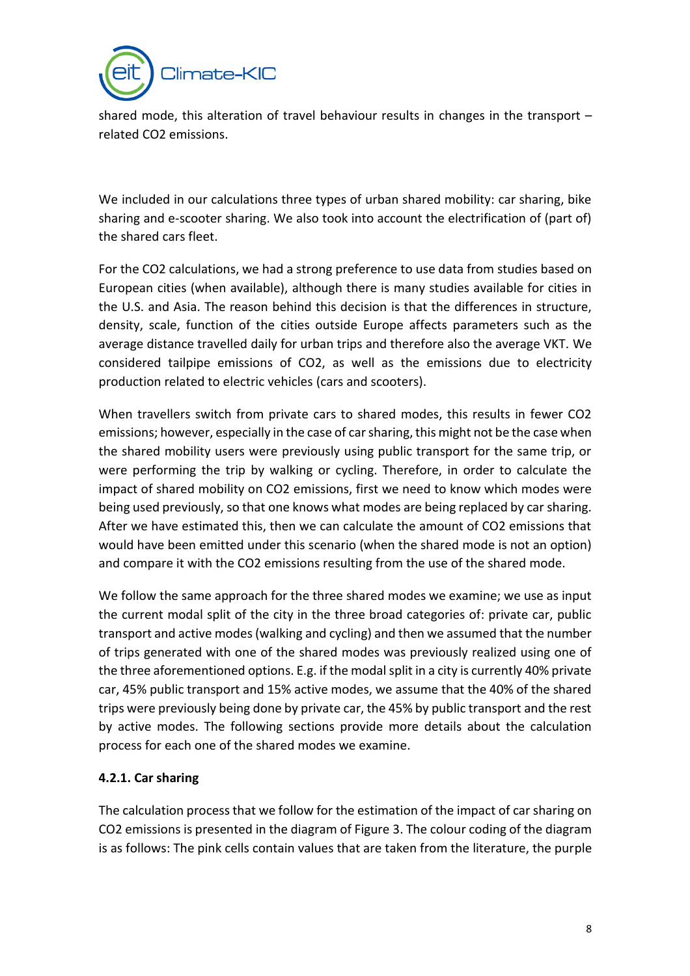

shared mode, this alteration of travel behaviour results in changes in the transport – related CO2 emissions.

We included in our calculations three types of urban shared mobility: car sharing, bike sharing and e-scooter sharing. We also took into account the electrification of (part of) the shared cars fleet.

For the CO2 calculations, we had a strong preference to use data from studies based on European cities (when available), although there is many studies available for cities in the U.S. and Asia. The reason behind this decision is that the differences in structure, density, scale, function of the cities outside Europe affects parameters such as the average distance travelled daily for urban trips and therefore also the average VKT. We considered tailpipe emissions of CO2, as well as the emissions due to electricity production related to electric vehicles (cars and scooters).

When travellers switch from private cars to shared modes, this results in fewer CO2 emissions; however, especially in the case of car sharing, this might not be the case when the shared mobility users were previously using public transport for the same trip, or were performing the trip by walking or cycling. Therefore, in order to calculate the impact of shared mobility on CO2 emissions, first we need to know which modes were being used previously, so that one knows what modes are being replaced by car sharing. After we have estimated this, then we can calculate the amount of CO2 emissions that would have been emitted under this scenario (when the shared mode is not an option) and compare it with the CO2 emissions resulting from the use of the shared mode.

We follow the same approach for the three shared modes we examine; we use as input the current modal split of the city in the three broad categories of: private car, public transport and active modes (walking and cycling) and then we assumed that the number of trips generated with one of the shared modes was previously realized using one of the three aforementioned options. E.g. if the modal split in a city is currently 40% private car, 45% public transport and 15% active modes, we assume that the 40% of the shared trips were previously being done by private car, the 45% by public transport and the rest by active modes. The following sections provide more details about the calculation process for each one of the shared modes we examine.

#### **4.2.1. Car sharing**

The calculation process that we follow for the estimation of the impact of car sharing on CO2 emissions is presented in the diagram of Figure 3. The colour coding of the diagram is as follows: The pink cells contain values that are taken from the literature, the purple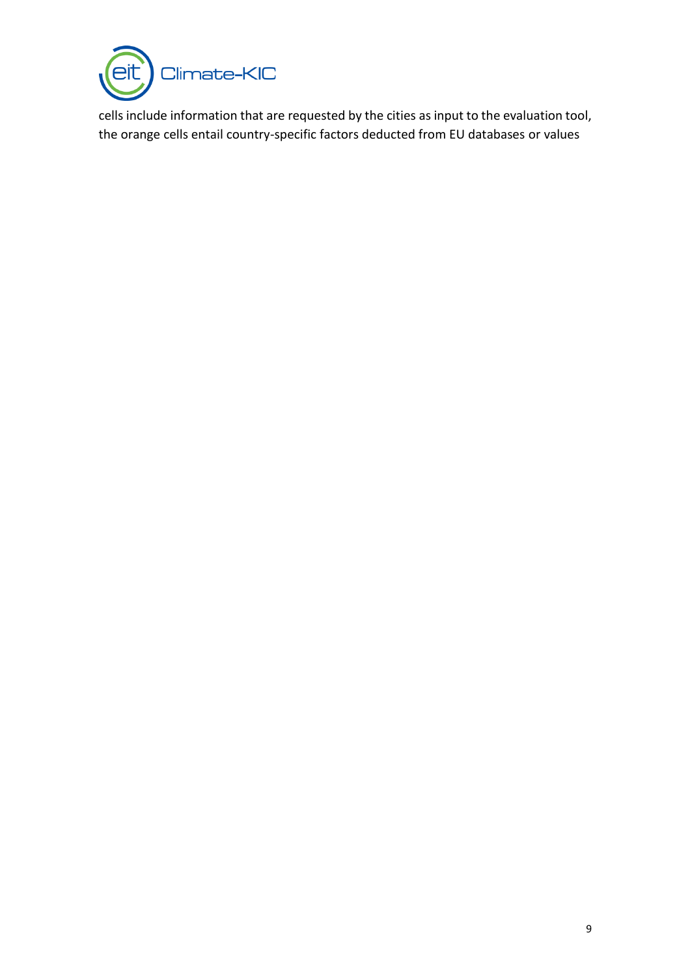

cells include information that are requested by the cities as input to the evaluation tool, the orange cells entail country-specific factors deducted from EU databases or values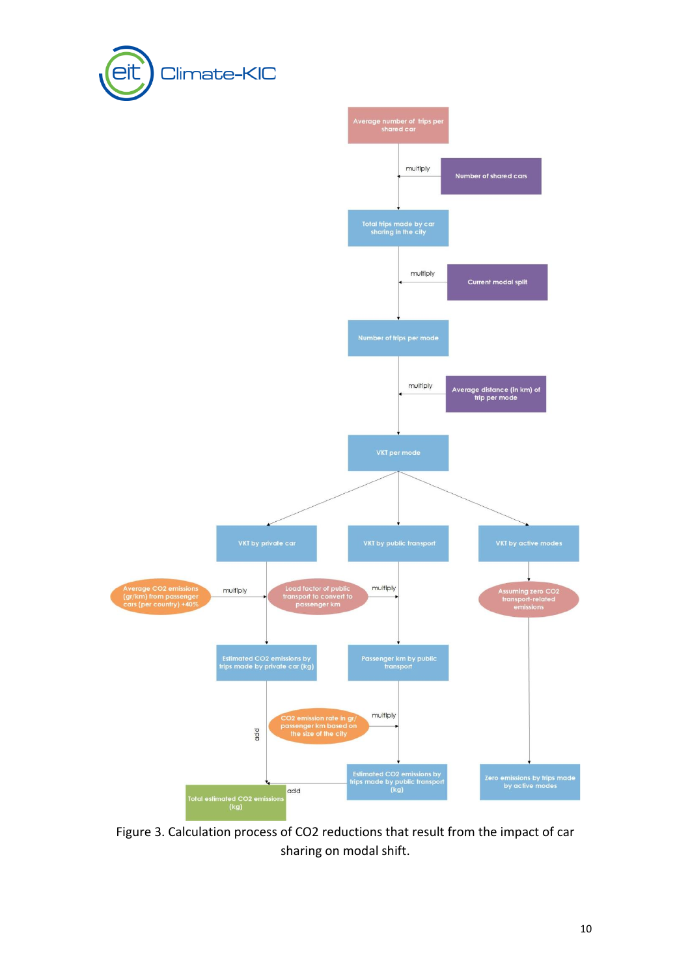



Figure 3. Calculation process of CO2 reductions that result from the impact of car sharing on modal shift.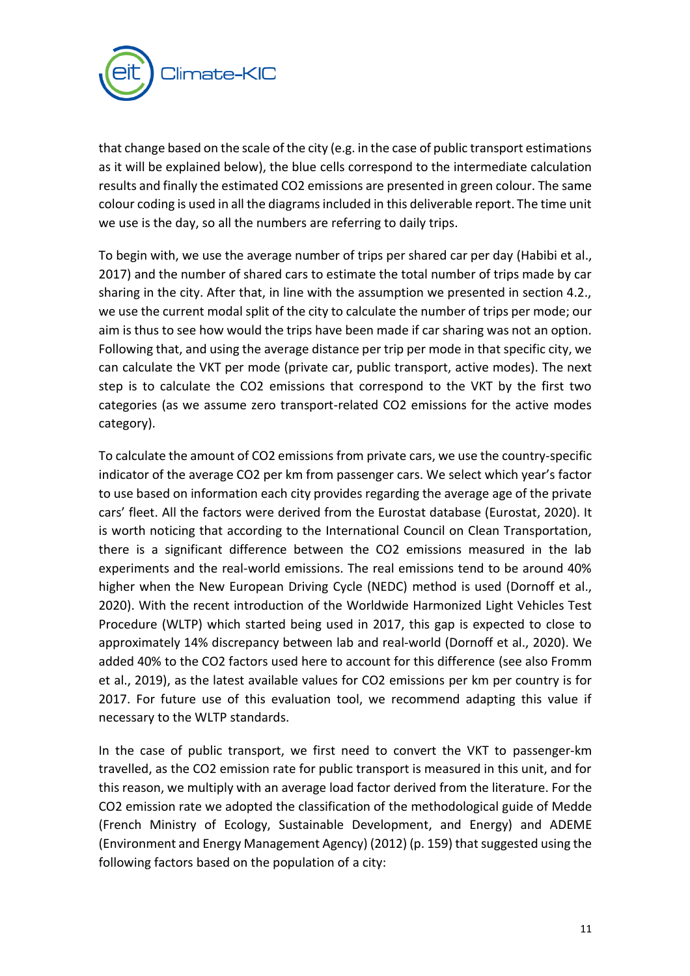

that change based on the scale of the city (e.g. in the case of public transport estimations as it will be explained below), the blue cells correspond to the intermediate calculation results and finally the estimated CO2 emissions are presented in green colour. The same colour coding is used in all the diagrams included in this deliverable report. The time unit we use is the day, so all the numbers are referring to daily trips.

To begin with, we use the average number of trips per shared car per day (Habibi et al., 2017) and the number of shared cars to estimate the total number of trips made by car sharing in the city. After that, in line with the assumption we presented in section 4.2., we use the current modal split of the city to calculate the number of trips per mode; our aim is thus to see how would the trips have been made if car sharing was not an option. Following that, and using the average distance per trip per mode in that specific city, we can calculate the VKT per mode (private car, public transport, active modes). The next step is to calculate the CO2 emissions that correspond to the VKT by the first two categories (as we assume zero transport-related CO2 emissions for the active modes category).

To calculate the amount of CO2 emissions from private cars, we use the country-specific indicator of the average CO2 per km from passenger cars. We select which year's factor to use based on information each city provides regarding the average age of the private cars' fleet. All the factors were derived from the Eurostat database (Eurostat, 2020). It is worth noticing that according to the International Council on Clean Transportation, there is a significant difference between the CO2 emissions measured in the lab experiments and the real-world emissions. The real emissions tend to be around 40% higher when the New European Driving Cycle (NEDC) method is used (Dornoff et al., 2020). With the recent introduction of the Worldwide Harmonized Light Vehicles Test Procedure (WLTP) which started being used in 2017, this gap is expected to close to approximately 14% discrepancy between lab and real-world (Dornoff et al., 2020). We added 40% to the CO2 factors used here to account for this difference (see also Fromm et al., 2019), as the latest available values for CO2 emissions per km per country is for 2017. For future use of this evaluation tool, we recommend adapting this value if necessary to the WLTP standards.

In the case of public transport, we first need to convert the VKT to passenger-km travelled, as the CO2 emission rate for public transport is measured in this unit, and for this reason, we multiply with an average load factor derived from the literature. For the CO2 emission rate we adopted the classification of the methodological guide of Medde (French Ministry of Ecology, Sustainable Development, and Energy) and ADEME (Environment and Energy Management Agency) (2012) (p. 159) that suggested using the following factors based on the population of a city: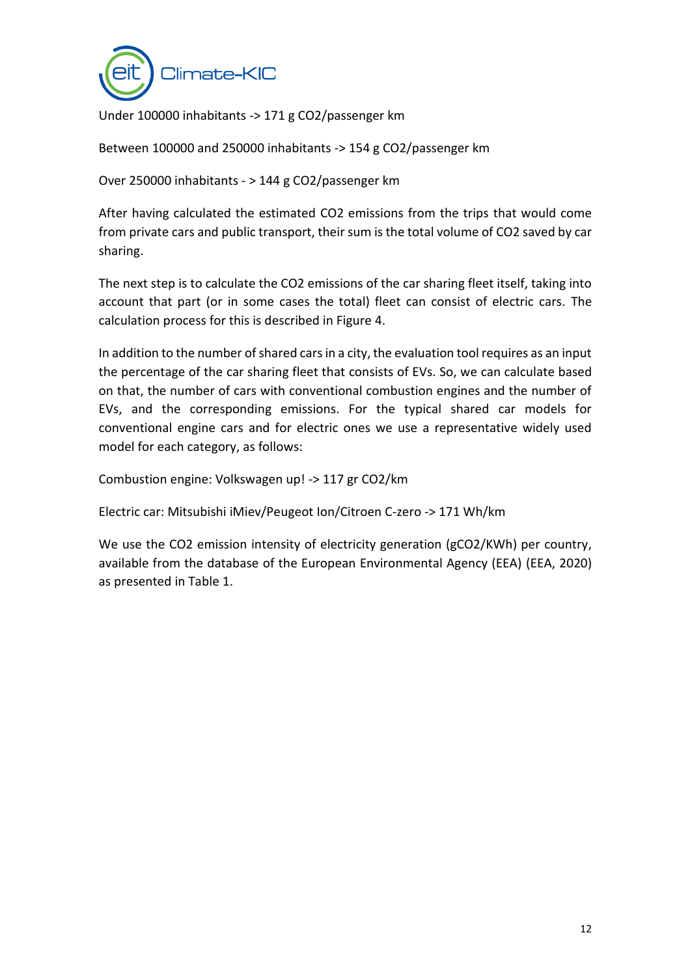

Under 100000 inhabitants -> 171 g CO2/passenger km

Between 100000 and 250000 inhabitants -> 154 g CO2/passenger km

Over 250000 inhabitants - > 144 g CO2/passenger km

After having calculated the estimated CO2 emissions from the trips that would come from private cars and public transport, their sum is the total volume of CO2 saved by car sharing.

The next step is to calculate the CO2 emissions of the car sharing fleet itself, taking into account that part (or in some cases the total) fleet can consist of electric cars. The calculation process for this is described in Figure 4.

In addition to the number of shared cars in a city, the evaluation tool requires as an input the percentage of the car sharing fleet that consists of EVs. So, we can calculate based on that, the number of cars with conventional combustion engines and the number of EVs, and the corresponding emissions. For the typical shared car models for conventional engine cars and for electric ones we use a representative widely used model for each category, as follows:

Combustion engine: Volkswagen up! -> 117 gr CO2/km

Electric car: Mitsubishi iMiev/Peugeot Ion/Citroen C-zero -> 171 Wh/km

We use the CO2 emission intensity of electricity generation (gCO2/KWh) per country, available from the database of the European Environmental Agency (EEA) (EEA, 2020) as presented in Table 1.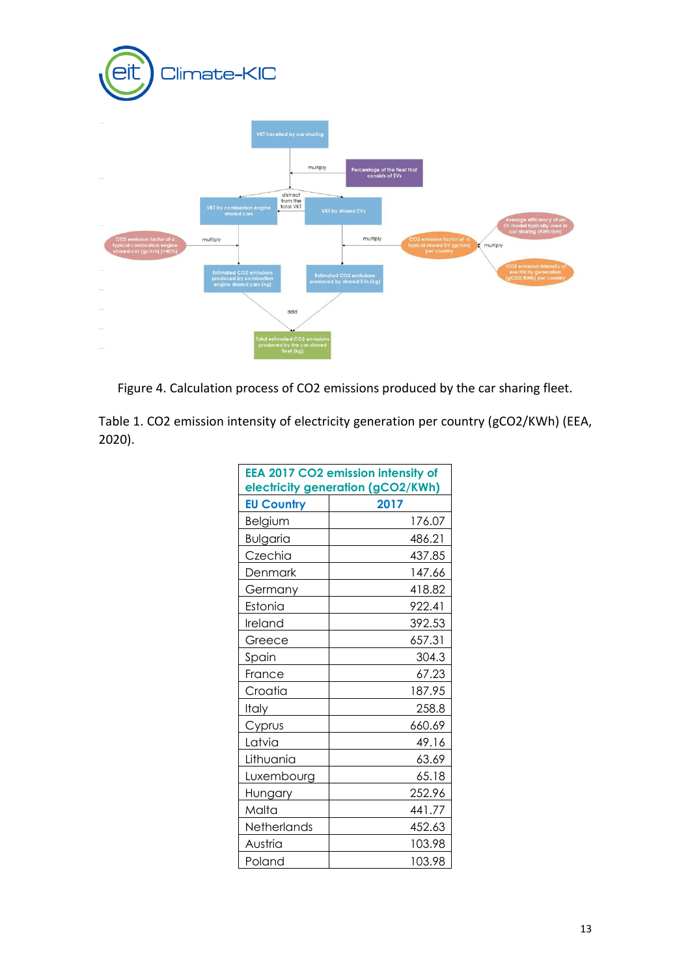

Figure 4. Calculation process of CO2 emissions produced by the car sharing fleet.

Table 1. CO2 emission intensity of electricity generation per country (gCO2/KWh) (EEA, 2020).

|                   | EEA 2017 CO2 emission intensity of<br>electricity generation (gCO2/KWh) |
|-------------------|-------------------------------------------------------------------------|
| <b>EU Country</b> | 2017                                                                    |
| Belgium           | 176.07                                                                  |
| <b>Bulgaria</b>   | 486.21                                                                  |
| Czechia           | 437.85                                                                  |
| Denmark           | 147.66                                                                  |
| Germany           | 418.82                                                                  |
| Estonia           | 922.41                                                                  |
| Ireland           | 392.53                                                                  |
| Greece            | 657.31                                                                  |
| Spain             | 304.3                                                                   |
| France            | 67.23                                                                   |
| Croatia           | 187.95                                                                  |
| Italy             | 258.8                                                                   |
| Cyprus            | 660.69                                                                  |
| Latvia            | 49.16                                                                   |
| Lithuania         | 63.69                                                                   |
| Luxembourg        | 65.18                                                                   |
| Hungary           | 252.96                                                                  |
| Malta             | 441.77                                                                  |
| Netherlands       | 452.63                                                                  |
| Austria           | 103.98                                                                  |
| Poland            | 103.98                                                                  |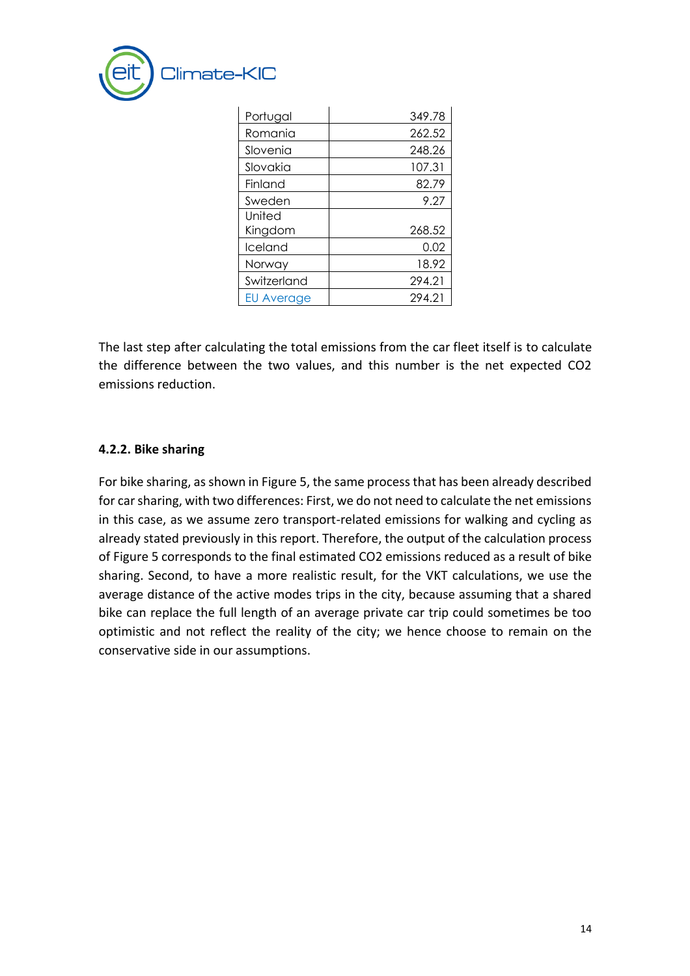

| Portugal          | 349.78 |
|-------------------|--------|
| Romania           | 262.52 |
| Slovenia          | 248.26 |
| Slovakia          | 107.31 |
| Finland           | 82.79  |
| Sweden            | 9.27   |
| United            |        |
| Kingdom           | 268.52 |
| Iceland           | 0.02   |
| Norway            | 18.92  |
| Switzerland       | 294.21 |
| <b>EU Average</b> | 294.21 |

The last step after calculating the total emissions from the car fleet itself is to calculate the difference between the two values, and this number is the net expected CO2 emissions reduction.

#### **4.2.2. Bike sharing**

For bike sharing, as shown in Figure 5, the same process that has been already described for car sharing, with two differences: First, we do not need to calculate the net emissions in this case, as we assume zero transport-related emissions for walking and cycling as already stated previously in this report. Therefore, the output of the calculation process of Figure 5 corresponds to the final estimated CO2 emissions reduced as a result of bike sharing. Second, to have a more realistic result, for the VKT calculations, we use the average distance of the active modes trips in the city, because assuming that a shared bike can replace the full length of an average private car trip could sometimes be too optimistic and not reflect the reality of the city; we hence choose to remain on the conservative side in our assumptions.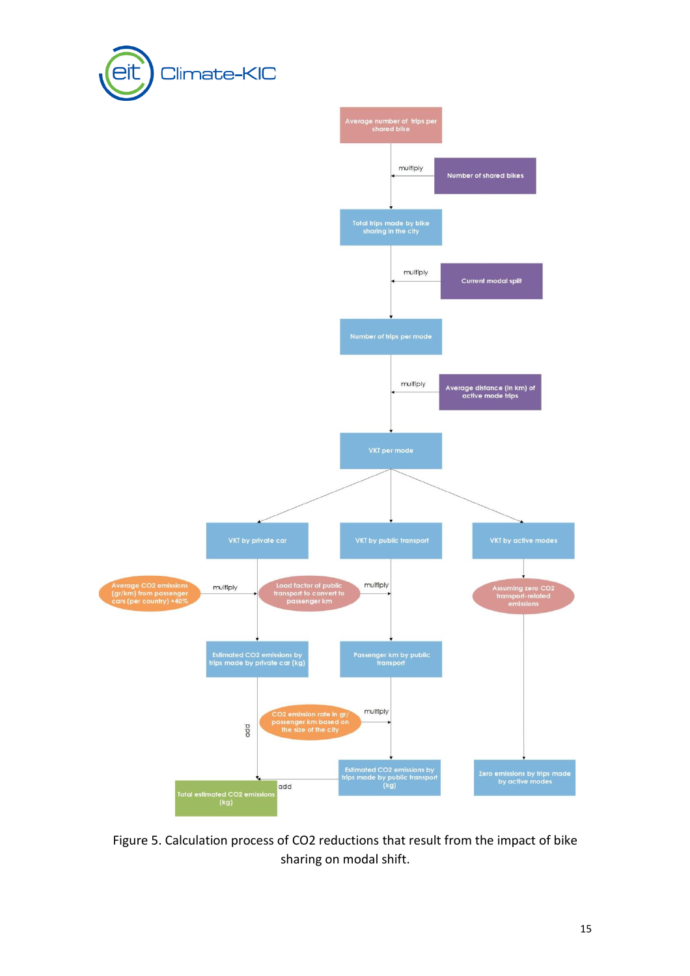



Figure 5. Calculation process of CO2 reductions that result from the impact of bike sharing on modal shift.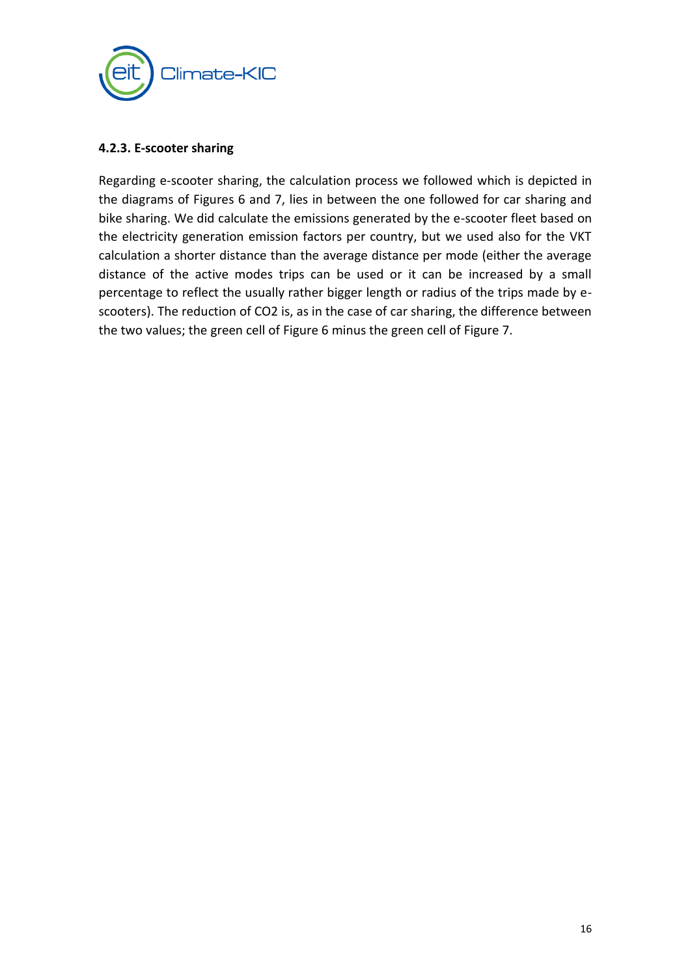

#### **4.2.3. E-scooter sharing**

Regarding e-scooter sharing, the calculation process we followed which is depicted in the diagrams of Figures 6 and 7, lies in between the one followed for car sharing and bike sharing. We did calculate the emissions generated by the e-scooter fleet based on the electricity generation emission factors per country, but we used also for the VKT calculation a shorter distance than the average distance per mode (either the average distance of the active modes trips can be used or it can be increased by a small percentage to reflect the usually rather bigger length or radius of the trips made by escooters). The reduction of CO2 is, as in the case of car sharing, the difference between the two values; the green cell of Figure 6 minus the green cell of Figure 7.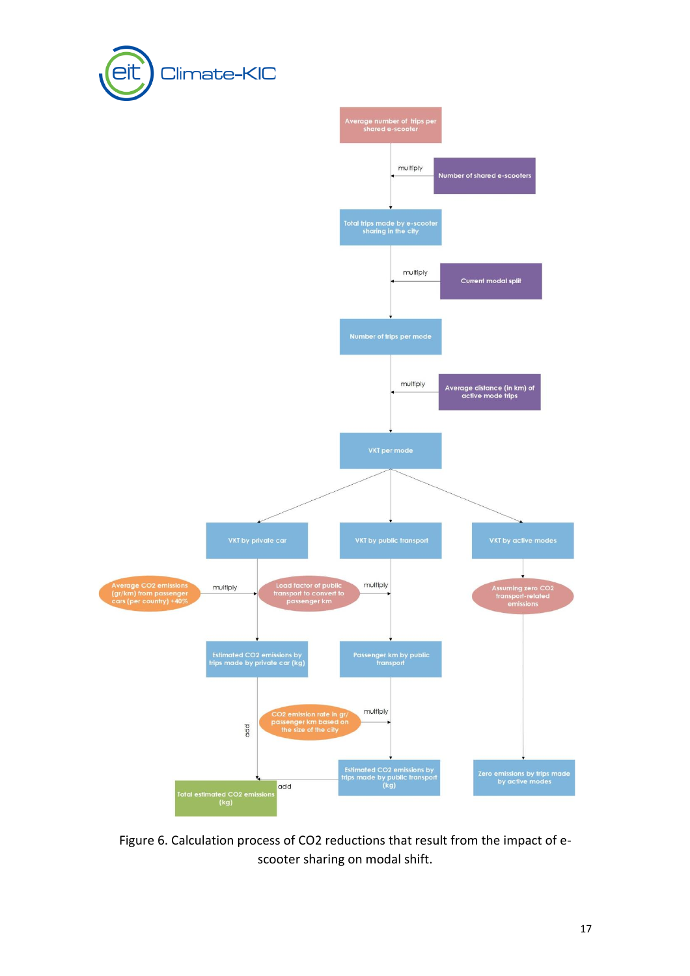



Figure 6. Calculation process of CO2 reductions that result from the impact of escooter sharing on modal shift.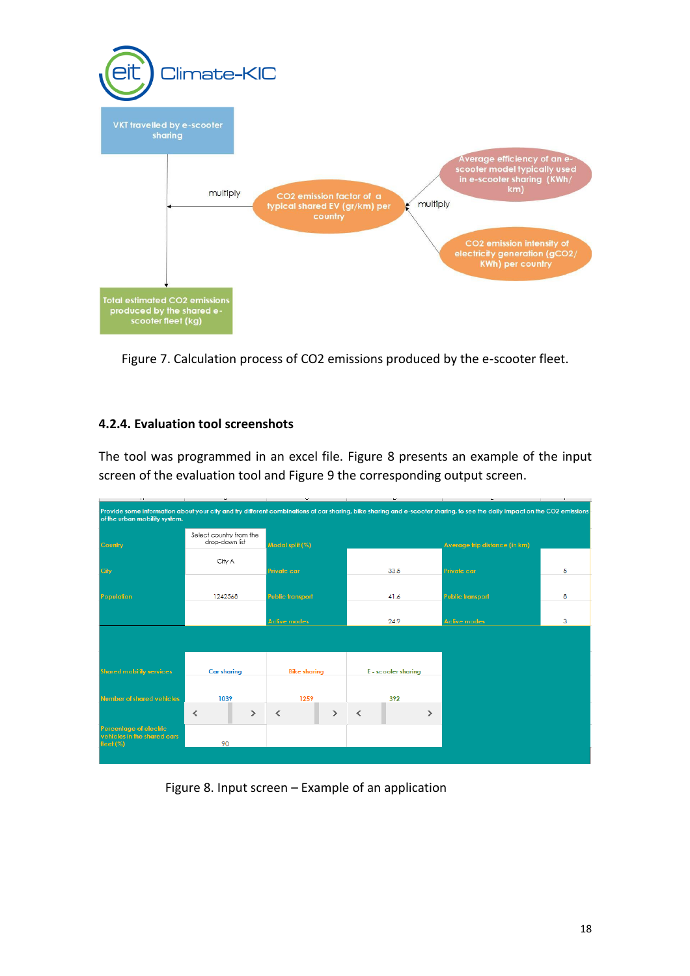

Figure 7. Calculation process of CO2 emissions produced by the e-scooter fleet.

### **4.2.4. Evaluation tool screenshots**

The tool was programmed in an excel file. Figure 8 presents an example of the input screen of the evaluation tool and Figure 9 the corresponding output screen.

| $\cdots$                                                                                                                                                                                                  | $\overline{\phantom{a}}$                  | $\tilde{\phantom{a}}$                     | $\tilde{}$                                | ۰                             | $\mathbf{r}$ |
|-----------------------------------------------------------------------------------------------------------------------------------------------------------------------------------------------------------|-------------------------------------------|-------------------------------------------|-------------------------------------------|-------------------------------|--------------|
| Provide some information about your city and try different combinations of car sharing, bike sharing and e-scooter sharing, to see the daily impact on the CO2 emissions<br>of the urban mobility system. |                                           |                                           |                                           |                               |              |
| <b>Country</b>                                                                                                                                                                                            | Select country from the<br>drop-down list | Modal split (%)                           |                                           | Average trip distance (in km) |              |
| Cily                                                                                                                                                                                                      | City A                                    | <b>Private car</b>                        | 33.5                                      | <b>Private car</b>            | 5            |
| Population                                                                                                                                                                                                | 1242568                                   | <b>Public transport</b>                   | 41.6                                      | <b>Public transport</b>       | 8            |
|                                                                                                                                                                                                           |                                           |                                           |                                           |                               |              |
|                                                                                                                                                                                                           |                                           | <b>Active modes</b>                       | 24.9                                      | <b>Aclive modes</b>           | 3            |
|                                                                                                                                                                                                           |                                           |                                           |                                           |                               |              |
| <b>Shared mobility services</b>                                                                                                                                                                           | <b>Car sharing</b>                        | <b>Bike sharing</b>                       | E - scooter sharing                       |                               |              |
| Number of shared vehicles                                                                                                                                                                                 | 1039                                      | 1259                                      | 392                                       |                               |              |
|                                                                                                                                                                                                           | $\rightarrow$<br>$\overline{\left($       | $\overline{\phantom{a}}$<br>$\rightarrow$ | $\overline{\phantom{a}}$<br>$\rightarrow$ |                               |              |
| Percentage of electric<br>vehicles in the shared cars<br>fleet $(%)$                                                                                                                                      | 90                                        |                                           |                                           |                               |              |
|                                                                                                                                                                                                           |                                           |                                           |                                           |                               |              |

Figure 8. Input screen – Example of an application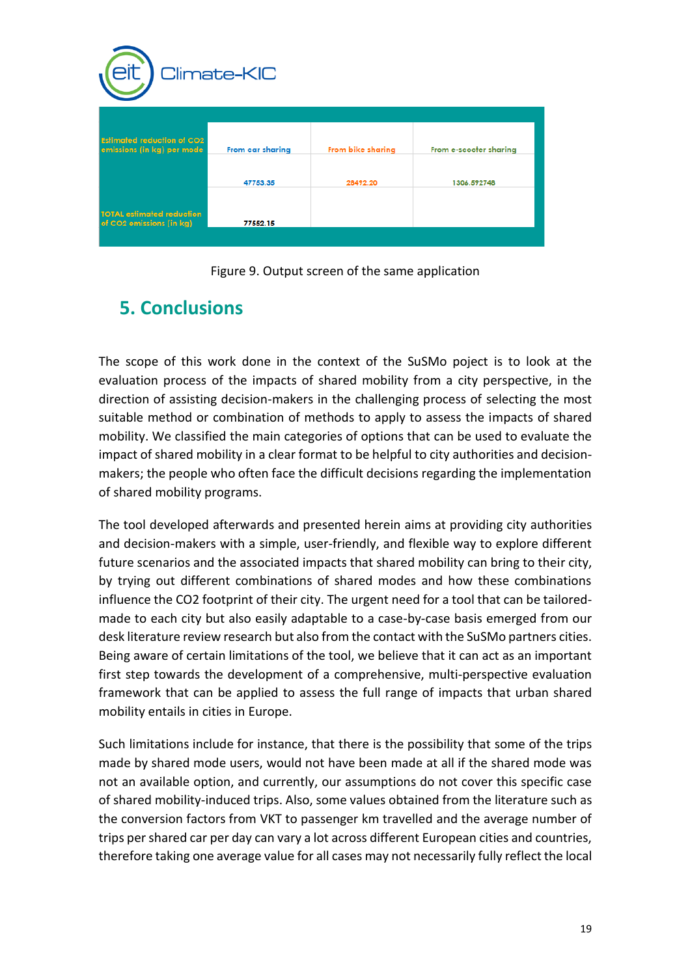| Climate-KIC                                                     |                  |                   |                        |  |  |
|-----------------------------------------------------------------|------------------|-------------------|------------------------|--|--|
| <b>Estimated reduction of CO2</b><br>emissions (in kg) per mode | From car sharing | From bike sharing | From e-scooter sharing |  |  |
|                                                                 | 47753.35         | 28492.20          | 1306.592748            |  |  |
| <b>TOTAL estimated reduction</b><br>of CO2 emissions (in kg)    | 77552.15         |                   |                        |  |  |

Figure 9. Output screen of the same application

## <span id="page-20-0"></span>**5. Conclusions**

The scope of this work done in the context of the SuSMo poject is to look at the evaluation process of the impacts of shared mobility from a city perspective, in the direction of assisting decision-makers in the challenging process of selecting the most suitable method or combination of methods to apply to assess the impacts of shared mobility. We classified the main categories of options that can be used to evaluate the impact of shared mobility in a clear format to be helpful to city authorities and decisionmakers; the people who often face the difficult decisions regarding the implementation of shared mobility programs.

The tool developed afterwards and presented herein aims at providing city authorities and decision-makers with a simple, user-friendly, and flexible way to explore different future scenarios and the associated impacts that shared mobility can bring to their city, by trying out different combinations of shared modes and how these combinations influence the CO2 footprint of their city. The urgent need for a tool that can be tailoredmade to each city but also easily adaptable to a case-by-case basis emerged from our desk literature review research but also from the contact with the SuSMo partners cities. Being aware of certain limitations of the tool, we believe that it can act as an important first step towards the development of a comprehensive, multi-perspective evaluation framework that can be applied to assess the full range of impacts that urban shared mobility entails in cities in Europe.

Such limitations include for instance, that there is the possibility that some of the trips made by shared mode users, would not have been made at all if the shared mode was not an available option, and currently, our assumptions do not cover this specific case of shared mobility-induced trips. Also, some values obtained from the literature such as the conversion factors from VKT to passenger km travelled and the average number of trips per shared car per day can vary a lot across different European cities and countries, therefore taking one average value for all cases may not necessarily fully reflect the local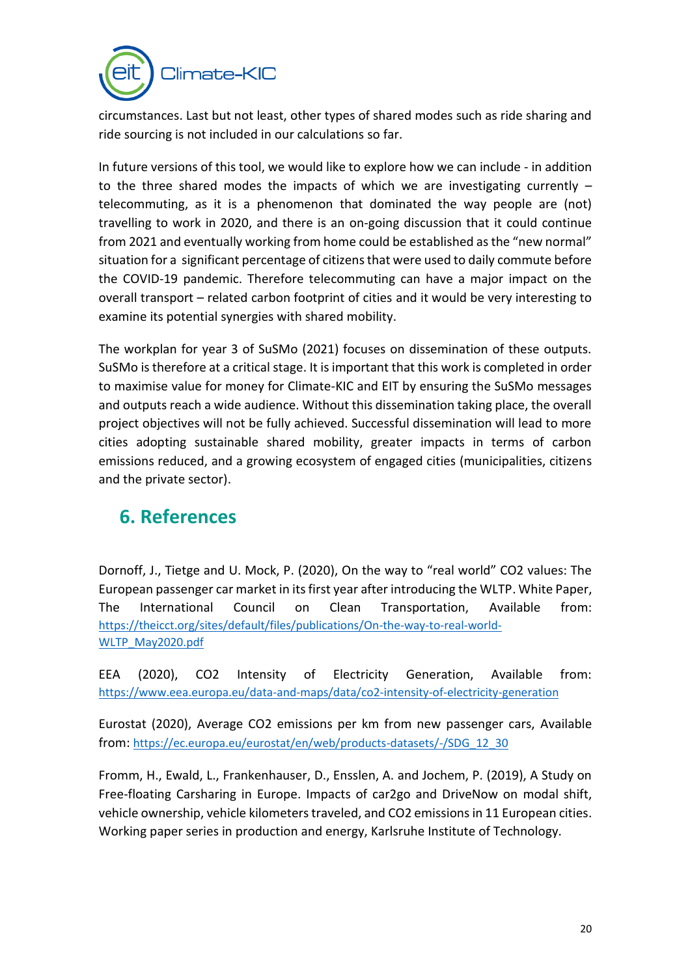

circumstances. Last but not least, other types of shared modes such as ride sharing and ride sourcing is not included in our calculations so far.

In future versions of this tool, we would like to explore how we can include - in addition to the three shared modes the impacts of which we are investigating currently – telecommuting, as it is a phenomenon that dominated the way people are (not) travelling to work in 2020, and there is an on-going discussion that it could continue from 2021 and eventually working from home could be established as the "new normal" situation for a significant percentage of citizens that were used to daily commute before the COVID-19 pandemic. Therefore telecommuting can have a major impact on the overall transport – related carbon footprint of cities and it would be very interesting to examine its potential synergies with shared mobility.

The workplan for year 3 of SuSMo (2021) focuses on dissemination of these outputs. SuSMo is therefore at a critical stage. It is important that this work is completed in order to maximise value for money for Climate-KIC and EIT by ensuring the SuSMo messages and outputs reach a wide audience. Without this dissemination taking place, the overall project objectives will not be fully achieved. Successful dissemination will lead to more cities adopting sustainable shared mobility, greater impacts in terms of carbon emissions reduced, and a growing ecosystem of engaged cities (municipalities, citizens and the private sector).

## <span id="page-21-0"></span>**6. References**

Dornoff, J., Tietge and U. Mock, P. (2020), On the way to "real world" CO2 values: The European passenger car market in its first year after introducing the WLTP. White Paper, The International Council on Clean Transportation, Available from: [https://theicct.org/sites/default/files/publications/On-the-way-to-real-world-](https://theicct.org/sites/default/files/publications/On-the-way-to-real-world-WLTP_May2020.pdf)[WLTP\\_May2020.pdf](https://theicct.org/sites/default/files/publications/On-the-way-to-real-world-WLTP_May2020.pdf)

EEA (2020), CO2 Intensity of Electricity Generation, Available from: <https://www.eea.europa.eu/data-and-maps/data/co2-intensity-of-electricity-generation>

Eurostat (2020), Average CO2 emissions per km from new passenger cars, Available from: [https://ec.europa.eu/eurostat/en/web/products-datasets/-/SDG\\_12\\_30](https://ec.europa.eu/eurostat/en/web/products-datasets/-/SDG_12_30)

Fromm, H., Ewald, L., Frankenhauser, D., Ensslen, A. and Jochem, P. (2019), A Study on Free-floating Carsharing in Europe. Impacts of car2go and DriveNow on modal shift, vehicle ownership, vehicle kilometers traveled, and CO2 emissions in 11 European cities. Working paper series in production and energy, Karlsruhe Institute of Technology.